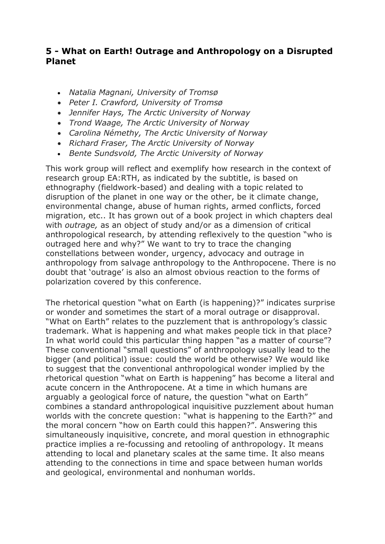# **5 - What on Earth! Outrage and Anthropology on a Disrupted Planet**

- *Natalia Magnani, University of Tromsø*
- *Peter I. Crawford, University of Tromsø*
- *Jennifer Hays, The Arctic University of Norway*
- *Trond Waage, The Arctic University of Norway*
- *Carolina Némethy, The Arctic University of Norway*
- *Richard Fraser, The Arctic University of Norway*
- *Bente Sundsvold, The Arctic University of Norway*

This work group will reflect and exemplify how research in the context of research group EA:RTH, as indicated by the subtitle, is based on ethnography (fieldwork-based) and dealing with a topic related to disruption of the planet in one way or the other, be it climate change, environmental change, abuse of human rights, armed conflicts, forced migration, etc.. It has grown out of a book project in which chapters deal with *outrage,* as an object of study and/or as a dimension of critical anthropological research, by attending reflexively to the question "who is outraged here and why?" We want to try to trace the changing constellations between wonder, urgency, advocacy and outrage in anthropology from salvage anthropology to the Anthropocene. There is no doubt that 'outrage' is also an almost obvious reaction to the forms of polarization covered by this conference.

The rhetorical question "what on Earth (is happening)?" indicates surprise or wonder and sometimes the start of a moral outrage or disapproval. "What on Earth" relates to the puzzlement that is anthropology's classic trademark. What is happening and what makes people tick in that place? In what world could this particular thing happen "as a matter of course"? These conventional "small questions" of anthropology usually lead to the bigger (and political) issue: could the world be otherwise? We would like to suggest that the conventional anthropological wonder implied by the rhetorical question "what on Earth is happening" has become a literal and acute concern in the Anthropocene. At a time in which humans are arguably a geological force of nature, the question "what on Earth" combines a standard anthropological inquisitive puzzlement about human worlds with the concrete question: "what is happening to the Earth?" and the moral concern "how on Earth could this happen?". Answering this simultaneously inquisitive, concrete, and moral question in ethnographic practice implies a re-focussing and retooling of anthropology. It means attending to local and planetary scales at the same time. It also means attending to the connections in time and space between human worlds and geological, environmental and nonhuman worlds.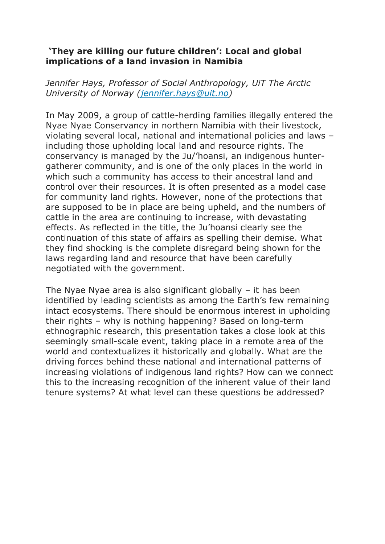# **'They are killing our future children': Local and global implications of a land invasion in Namibia**

*Jennifer Hays, Professor of Social Anthropology, UiT The Arctic University of Norway [\(jennifer.hays@uit.no\)](mailto:jennifer.hays@uit.no)*

In May 2009, a group of cattle-herding families illegally entered the Nyae Nyae Conservancy in northern Namibia with their livestock, violating several local, national and international policies and laws – including those upholding local land and resource rights. The conservancy is managed by the Ju/'hoansi, an indigenous huntergatherer community, and is one of the only places in the world in which such a community has access to their ancestral land and control over their resources. It is often presented as a model case for community land rights. However, none of the protections that are supposed to be in place are being upheld, and the numbers of cattle in the area are continuing to increase, with devastating effects. As reflected in the title, the Ju'hoansi clearly see the continuation of this state of affairs as spelling their demise. What they find shocking is the complete disregard being shown for the laws regarding land and resource that have been carefully negotiated with the government.

The Nyae Nyae area is also significant globally  $-$  it has been identified by leading scientists as among the Earth's few remaining intact ecosystems. There should be enormous interest in upholding their rights – why is nothing happening? Based on long-term ethnographic research, this presentation takes a close look at this seemingly small-scale event, taking place in a remote area of the world and contextualizes it historically and globally. What are the driving forces behind these national and international patterns of increasing violations of indigenous land rights? How can we connect this to the increasing recognition of the inherent value of their land tenure systems? At what level can these questions be addressed?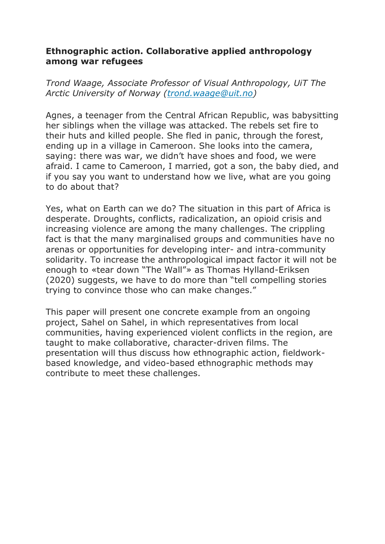## **Ethnographic action. Collaborative applied anthropology among war refugees**

*Trond Waage, Associate Professor of Visual Anthropology, UiT The Arctic University of Norway [\(trond.waage@uit.no\)](mailto:trond.waage@uit.no)*

Agnes, a teenager from the Central African Republic, was babysitting her siblings when the village was attacked. The rebels set fire to their huts and killed people. She fled in panic, through the forest, ending up in a village in Cameroon. She looks into the camera, saying: there was war, we didn't have shoes and food, we were afraid. I came to Cameroon, I married, got a son, the baby died, and if you say you want to understand how we live, what are you going to do about that?

Yes, what on Earth can we do? The situation in this part of Africa is desperate. Droughts, conflicts, radicalization, an opioid crisis and increasing violence are among the many challenges. The crippling fact is that the many marginalised groups and communities have no arenas or opportunities for developing inter- and intra-community solidarity. To increase the anthropological impact factor it will not be enough to «tear down "The Wall"» as Thomas Hylland-Eriksen (2020) suggests, we have to do more than "tell compelling stories trying to convince those who can make changes."

This paper will present one concrete example from an ongoing project, Sahel on Sahel, in which representatives from local communities, having experienced violent conflicts in the region, are taught to make collaborative, character-driven films. The presentation will thus discuss how ethnographic action, fieldworkbased knowledge, and video-based ethnographic methods may contribute to meet these challenges.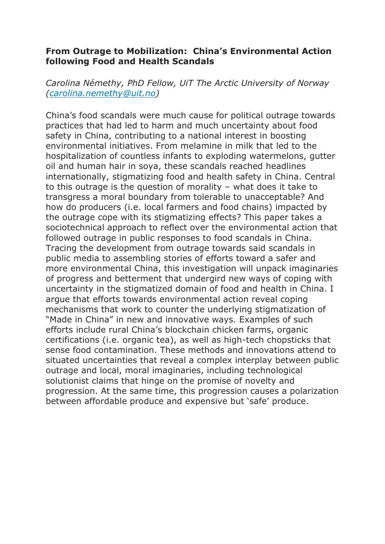### **From Outrage to Mobilization: China's Environmental Action following Food and Health Scandals**

*Carolina Némethy, PhD Fellow, UiT The Arctic University of Norway [\(carolina.nemethy@uit.no\)](mailto:carolina.nemethy@uit.no)*

China's food scandals were much cause for political outrage towards practices that had led to harm and much uncertainty about food safety in China, contributing to a national interest in boosting environmental initiatives. From melamine in milk that led to the hospitalization of countless infants to exploding watermelons, gutter oil and human hair in soya, these scandals reached headlines internationally, stigmatizing food and health safety in China. Central to this outrage is the question of morality – what does it take to transgress a moral boundary from tolerable to unacceptable? And how do producers (i.e. local farmers and food chains) impacted by the outrage cope with its stigmatizing effects? This paper takes a sociotechnical approach to reflect over the environmental action that followed outrage in public responses to food scandals in China. Tracing the development from outrage towards said scandals in public media to assembling stories of efforts toward a safer and more environmental China, this investigation will unpack imaginaries of progress and betterment that undergird new ways of coping with uncertainty in the stigmatized domain of food and health in China. I argue that efforts towards environmental action reveal coping mechanisms that work to counter the underlying stigmatization of "Made in China" in new and innovative ways. Examples of such efforts include rural China's blockchain chicken farms, organic certifications (i.e. organic tea), as well as high-tech chopsticks that sense food contamination. These methods and innovations attend to situated uncertainties that reveal a complex interplay between public outrage and local, moral imaginaries, including technological solutionist claims that hinge on the promise of novelty and progression. At the same time, this progression causes a polarization between affordable produce and expensive but 'safe' produce.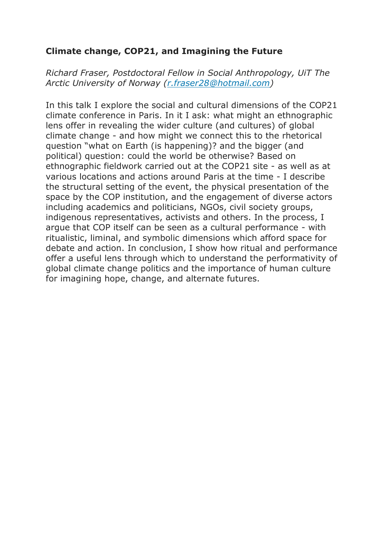# **Climate change, COP21, and Imagining the Future**

*Richard Fraser, Postdoctoral Fellow in Social Anthropology, UiT The Arctic University of Norway [\(r.fraser28@hotmail.com\)](mailto:r.fraser28@hotmail.com)*

In this talk I explore the social and cultural dimensions of the COP21 climate conference in Paris. In it I ask: what might an ethnographic lens offer in revealing the wider culture (and cultures) of global climate change - and how might we connect this to the rhetorical question "what on Earth (is happening)? and the bigger (and political) question: could the world be otherwise? Based on ethnographic fieldwork carried out at the COP21 site - as well as at various locations and actions around Paris at the time - I describe the structural setting of the event, the physical presentation of the space by the COP institution, and the engagement of diverse actors including academics and politicians, NGOs, civil society groups, indigenous representatives, activists and others. In the process, I argue that COP itself can be seen as a cultural performance - with ritualistic, liminal, and symbolic dimensions which afford space for debate and action. In conclusion, I show how ritual and performance offer a useful lens through which to understand the performativity of global climate change politics and the importance of human culture for imagining hope, change, and alternate futures.